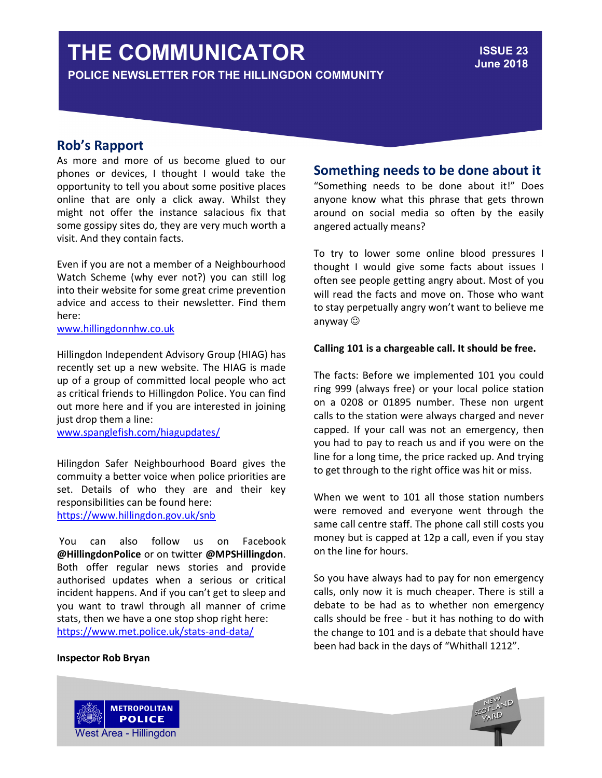# THE COMMUNICATOR

POLICE NEWSLETTER FOR THE HILLINGDON COMMUNITY

## Rob's Rapport

As more and more of us become glued to our phones or devices, I thought I would take the opportunity to tell you about some positive places online that are only a click away. Whilst they might not offer the instance salacious fix that some gossipy sites do, they are very much worth a visit. And they contain facts.

Even if you are not a member of a Neighbourhood Watch Scheme (why ever not?) you can still log into their website for some great crime prevention advice and access to their newsletter. Find them here:

www.hillingdonnhw.co.uk

Hillingdon Independent Advisory Group (HIAG) has recently set up a new website. The HIAG is made up of a group of committed local people who act as critical friends to Hillingdon Police. You can find out more here and if you are interested in joining just drop them a line:

www.spanglefish.com/hiagupdates/

Hilingdon Safer Neighbourhood Board gives the commuity a better voice when police priorities are set. Details of who they are and their key responsibilities can be found here: https://www.hillingdon.gov.uk/snb

 You can also follow us on Facebook @HillingdonPolice or on twitter @MPSHillingdon. Both offer regular news stories and provide authorised updates when a serious or critical incident happens. And if you can't get to sleep and you want to trawl through all manner of crime stats, then we have a one stop shop right here: https://www.met.police.uk/stats-and-data/

### Inspector Rob Bryan

West Area - Hillingdon

**METROPOLITAN POLICE** 

# Something needs to be done about it

"Something needs to be done about it!" Does anyone know what this phrase that gets thrown around on social media so often by the easily angered actually means?

To try to lower some online blood pressures I thought I would give some facts about issues I often see people getting angry about. Most of you will read the facts and move on. Those who want to stay perpetually angry won't want to believe me anyway

#### Calling 101 is a chargeable call. It should be free.

The facts: Before we implemented 101 you could ring 999 (always free) or your local police station on a 0208 or 01895 number. These non urgent calls to the station were always charged and never capped. If your call was not an emergency, then you had to pay to reach us and if you were on the line for a long time, the price racked up. And trying to get through to the right office was hit or miss.

When we went to 101 all those station numbers were removed and everyone went through the same call centre staff. The phone call still costs you money but is capped at 12p a call, even if you stay on the line for hours.

So you have always had to pay for non emergency calls, only now it is much cheaper. There is still a debate to be had as to whether non emergency calls should be free - but it has nothing to do with the change to 101 and is a debate that should have been had back in the days of "Whithall 1212".